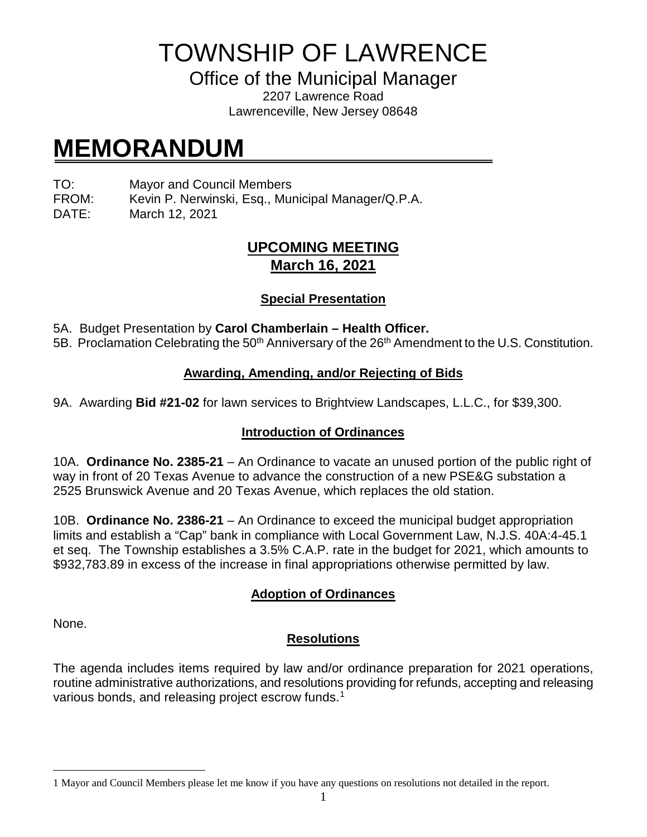TOWNSHIP OF LAWRENCE

Office of the Municipal Manager

2207 Lawrence Road Lawrenceville, New Jersey 08648

# **MEMORANDUM**

TO: Mayor and Council Members

FROM: Kevin P. Nerwinski, Esq., Municipal Manager/Q.P.A.

DATE: March 12, 2021

### **UPCOMING MEETING March 16, 2021**

#### **Special Presentation**

- 5A. Budget Presentation by **Carol Chamberlain – Health Officer.**
- 5B. Proclamation Celebrating the 50<sup>th</sup> Anniversary of the 26<sup>th</sup> Amendment to the U.S. Constitution.

#### **Awarding, Amending, and/or Rejecting of Bids**

9A. Awarding **Bid #21-02** for lawn services to Brightview Landscapes, L.L.C., for \$39,300.

#### **Introduction of Ordinances**

10A. **Ordinance No. 2385-21** – An Ordinance to vacate an unused portion of the public right of way in front of 20 Texas Avenue to advance the construction of a new PSE&G substation a 2525 Brunswick Avenue and 20 Texas Avenue, which replaces the old station.

10B. **Ordinance No. 2386-21** – An Ordinance to exceed the municipal budget appropriation limits and establish a "Cap" bank in compliance with Local Government Law, N.J.S. 40A:4-45.1 et seq. The Township establishes a 3.5% C.A.P. rate in the budget for 2021, which amounts to \$932,783.89 in excess of the increase in final appropriations otherwise permitted by law.

## **Adoption of Ordinances**

None.

## **Resolutions**

The agenda includes items required by law and/or ordinance preparation for 2021 operations, routine administrative authorizations, and resolutions providing for refunds, accepting and releasing various bonds, and releasing project escrow funds. [1](#page-0-0)

<span id="page-0-0"></span> $\overline{a}$ 1 Mayor and Council Members please let me know if you have any questions on resolutions not detailed in the report.